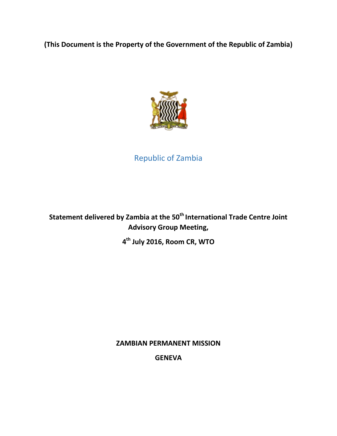# **(This Document is the Property of the Government of the Republic of Zambia)**



# Republic of Zambia

**Statement delivered by Zambia at the 50th International Trade Centre Joint Advisory Group Meeting,** 

**4 th July 2016, Room CR, WTO**

#### **ZAMBIAN PERMANENT MISSION**

**GENEVA**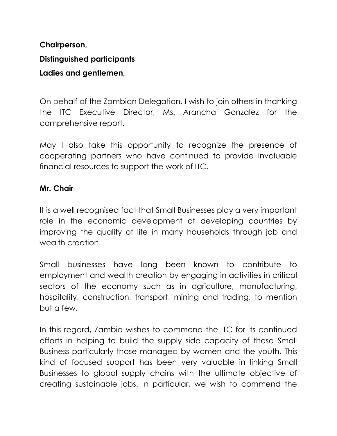# **Chairperson, Distinguished participants Ladies and gentlemen,**

On behalf of the Zambian Delegation, I wish to join others in thanking the ITC Executive Director, Ms. Arancha Gonzalez for the comprehensive report.

May I also take this opportunity to recognize the presence of cooperating partners who have continued to provide invaluable financial resources to support the work of ITC.

### **Mr. Chair**

It is a well recognised fact that Small Businesses play a very important role in the economic development of developing countries by improving the quality of life in many households through job and wealth creation.

Small businesses have long been known to contribute to employment and wealth creation by engaging in activities in critical sectors of the economy such as in agriculture, manufacturing, hospitality, construction, transport, mining and trading, to mention but a few.

In this regard, Zambia wishes to commend the ITC for its continued efforts in helping to build the supply side capacity of these Small Business particularly those managed by women and the youth. This kind of focused support has been very valuable in linking Small Businesses to global supply chains with the ultimate objective of creating sustainable jobs. In particular, we wish to commend the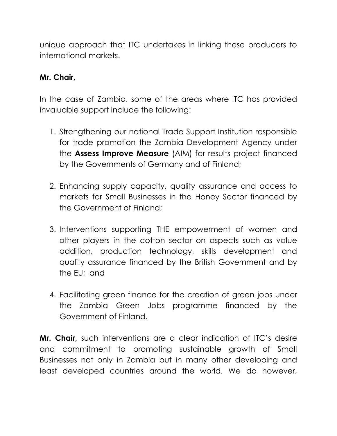unique approach that ITC undertakes in linking these producers to international markets.

### **Mr. Chair,**

In the case of Zambia, some of the areas where ITC has provided invaluable support include the following:

- 1. Strengthening our national Trade Support Institution responsible for trade promotion the Zambia Development Agency under the **Assess Improve Measure** (AIM) for results project financed by the Governments of Germany and of Finland;
- 2. Enhancing supply capacity, quality assurance and access to markets for Small Businesses in the Honey Sector financed by the Government of Finland;
- 3. Interventions supporting THE empowerment of women and other players in the cotton sector on aspects such as value addition, production technology, skills development and quality assurance financed by the British Government and by the EU; and
- 4. Facilitating green finance for the creation of green jobs under the Zambia Green Jobs programme financed by the Government of Finland.

**Mr. Chair,** such interventions are a clear indication of ITC's desire and commitment to promoting sustainable growth of Small Businesses not only in Zambia but in many other developing and least developed countries around the world. We do however,